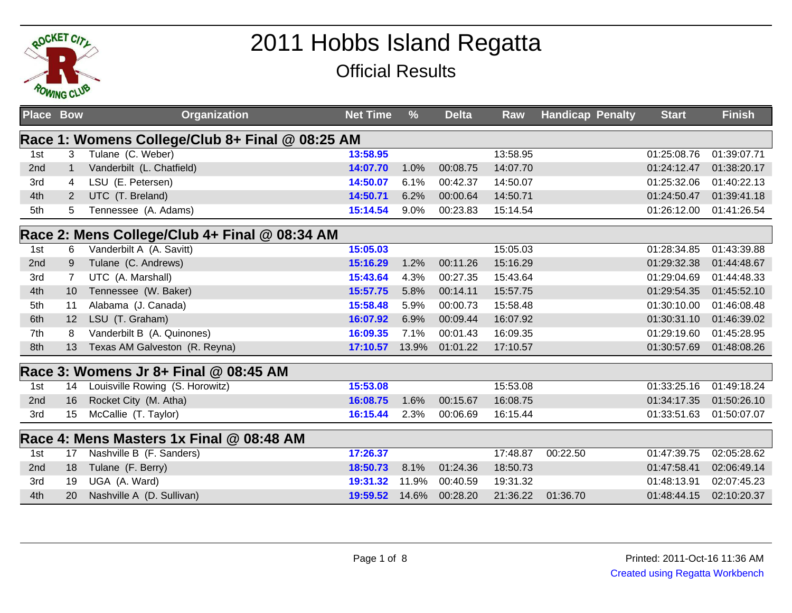

## 2011 Hobbs Island RegattaOfficial Results

| <b>Place Bow</b> |                                                 | <b>Organization</b>                      | <b>Net Time</b> | $\frac{9}{6}$ | <b>Delta</b> | Raw      | <b>Handicap Penalty</b> |  | <b>Start</b> | <b>Finish</b> |  |
|------------------|-------------------------------------------------|------------------------------------------|-----------------|---------------|--------------|----------|-------------------------|--|--------------|---------------|--|
|                  | Race 1: Womens College/Club 8+ Final @ 08:25 AM |                                          |                 |               |              |          |                         |  |              |               |  |
| 1st              | 3                                               | Tulane (C. Weber)                        | 13:58.95        |               |              | 13:58.95 |                         |  | 01:25:08.76  | 01:39:07.71   |  |
| 2nd              | $\mathbf{1}$                                    | Vanderbilt (L. Chatfield)                | 14:07.70        | 1.0%          | 00:08.75     | 14:07.70 |                         |  | 01:24:12.47  | 01:38:20.17   |  |
| 3rd              | 4                                               | LSU (E. Petersen)                        | 14:50.07        | 6.1%          | 00:42.37     | 14:50.07 |                         |  | 01:25:32.06  | 01:40:22.13   |  |
| 4th              | $\overline{2}$                                  | UTC (T. Breland)                         | 14:50.71        | 6.2%          | 00:00.64     | 14:50.71 |                         |  | 01:24:50.47  | 01:39:41.18   |  |
| 5th              | 5                                               | Tennessee (A. Adams)                     | 15:14.54        | 9.0%          | 00:23.83     | 15:14.54 |                         |  | 01:26:12.00  | 01:41:26.54   |  |
|                  | Race 2: Mens College/Club 4+ Final @ 08:34 AM   |                                          |                 |               |              |          |                         |  |              |               |  |
| 1st              | 6                                               | Vanderbilt A (A. Savitt)                 | 15:05.03        |               |              | 15:05.03 |                         |  | 01:28:34.85  | 01:43:39.88   |  |
| 2nd              | 9                                               | Tulane (C. Andrews)                      | 15:16.29        | 1.2%          | 00:11.26     | 15:16.29 |                         |  | 01:29:32.38  | 01:44:48.67   |  |
| 3rd              |                                                 | UTC (A. Marshall)                        | 15:43.64        | 4.3%          | 00:27.35     | 15:43.64 |                         |  | 01:29:04.69  | 01:44:48.33   |  |
| 4th              | 10                                              | Tennessee (W. Baker)                     | 15:57.75        | 5.8%          | 00:14.11     | 15:57.75 |                         |  | 01:29:54.35  | 01:45:52.10   |  |
| 5th              | 11                                              | Alabama (J. Canada)                      | 15:58.48        | 5.9%          | 00:00.73     | 15:58.48 |                         |  | 01:30:10.00  | 01:46:08.48   |  |
| 6th              | 12                                              | LSU (T. Graham)                          | 16:07.92        | 6.9%          | 00:09.44     | 16:07.92 |                         |  | 01:30:31.10  | 01:46:39.02   |  |
| 7th              | 8                                               | Vanderbilt B (A. Quinones)               | 16:09.35        | 7.1%          | 00:01.43     | 16:09.35 |                         |  | 01:29:19.60  | 01:45:28.95   |  |
| 8th              | 13                                              | Texas AM Galveston (R. Reyna)            | 17:10.57        | 13.9%         | 01:01.22     | 17:10.57 |                         |  | 01:30:57.69  | 01:48:08.26   |  |
|                  |                                                 | Race 3: Womens Jr 8+ Final @ 08:45 AM    |                 |               |              |          |                         |  |              |               |  |
| 1st              | 14                                              | Louisville Rowing (S. Horowitz)          | 15:53.08        |               |              | 15:53.08 |                         |  | 01:33:25.16  | 01:49:18.24   |  |
| 2nd              | 16                                              | Rocket City (M. Atha)                    | 16:08.75        | 1.6%          | 00:15.67     | 16:08.75 |                         |  | 01:34:17.35  | 01:50:26.10   |  |
| 3rd              | 15                                              | McCallie (T. Taylor)                     | 16:15.44        | 2.3%          | 00:06.69     | 16:15.44 |                         |  | 01:33:51.63  | 01:50:07.07   |  |
|                  |                                                 | Race 4: Mens Masters 1x Final @ 08:48 AM |                 |               |              |          |                         |  |              |               |  |
| 1st              | 17                                              | Nashville B (F. Sanders)                 | 17:26.37        |               |              | 17:48.87 | 00:22.50                |  | 01:47:39.75  | 02:05:28.62   |  |
| 2nd              | 18                                              | Tulane (F. Berry)                        | 18:50.73        | 8.1%          | 01:24.36     | 18:50.73 |                         |  | 01:47:58.41  | 02:06:49.14   |  |
| 3rd              | 19                                              | UGA (A. Ward)                            | 19:31.32        | 11.9%         | 00:40.59     | 19:31.32 |                         |  | 01:48:13.91  | 02:07:45.23   |  |
| 4th              | 20                                              | Nashville A (D. Sullivan)                | 19:59.52        | 14.6%         | 00:28.20     | 21:36.22 | 01:36.70                |  | 01:48:44.15  | 02:10:20.37   |  |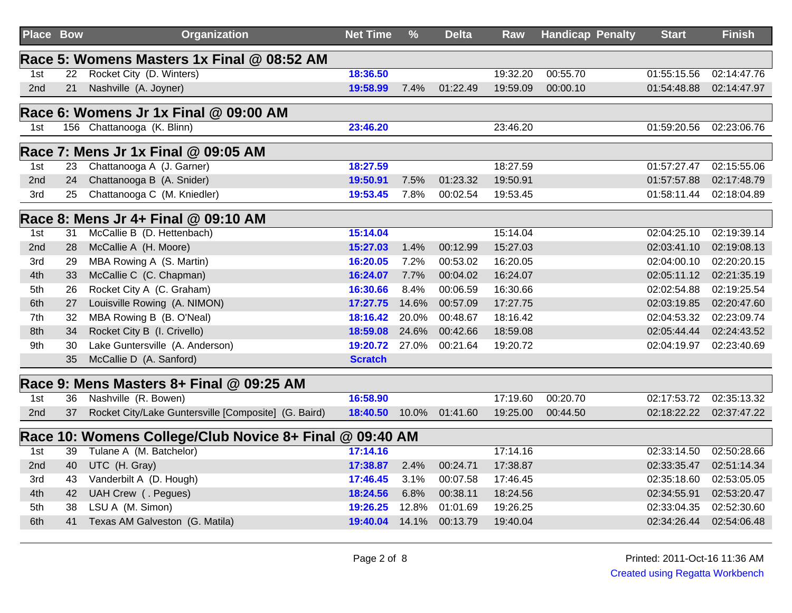| Place Bow |    | <b>Organization</b>                                     | <b>Net Time</b> | $\frac{9}{6}$ | <b>Delta</b> | <b>Raw</b> | <b>Handicap Penalty</b> | <b>Start</b> | <b>Finish</b> |
|-----------|----|---------------------------------------------------------|-----------------|---------------|--------------|------------|-------------------------|--------------|---------------|
|           |    | Race 5: Womens Masters 1x Final @ 08:52 AM              |                 |               |              |            |                         |              |               |
| 1st       | 22 | Rocket City (D. Winters)                                | 18:36.50        |               |              | 19:32.20   | 00:55.70                | 01:55:15.56  | 02:14:47.76   |
| 2nd       | 21 | Nashville (A. Joyner)                                   | 19:58.99        | 7.4%          | 01:22.49     | 19:59.09   | 00:00.10                | 01:54:48.88  | 02:14:47.97   |
|           |    | Race 6: Womens Jr 1x Final @ 09:00 AM                   |                 |               |              |            |                         |              |               |
| 1st       |    | 156 Chattanooga (K. Blinn)                              | 23:46.20        |               |              | 23:46.20   |                         | 01:59:20.56  | 02:23:06.76   |
|           |    | Race 7: Mens Jr 1x Final @ 09:05 AM                     |                 |               |              |            |                         |              |               |
| 1st       | 23 | Chattanooga A (J. Garner)                               | 18:27.59        |               |              | 18:27.59   |                         | 01:57:27.47  | 02:15:55.06   |
| 2nd       | 24 | Chattanooga B (A. Snider)                               | 19:50.91        | 7.5%          | 01:23.32     | 19:50.91   |                         | 01:57:57.88  | 02:17:48.79   |
| 3rd       | 25 | Chattanooga C (M. Kniedler)                             | 19:53.45        | 7.8%          | 00:02.54     | 19:53.45   |                         | 01:58:11.44  | 02:18:04.89   |
|           |    | Race 8: Mens Jr 4+ Final @ 09:10 AM                     |                 |               |              |            |                         |              |               |
| 1st       | 31 | McCallie B (D. Hettenbach)                              | 15:14.04        |               |              | 15:14.04   |                         | 02:04:25.10  | 02:19:39.14   |
| 2nd       | 28 | McCallie A (H. Moore)                                   | 15:27.03        | 1.4%          | 00:12.99     | 15:27.03   |                         | 02:03:41.10  | 02:19:08.13   |
| 3rd       | 29 | MBA Rowing A (S. Martin)                                | 16:20.05        | 7.2%          | 00:53.02     | 16:20.05   |                         | 02:04:00.10  | 02:20:20.15   |
| 4th       | 33 | McCallie C (C. Chapman)                                 | 16:24.07        | 7.7%          | 00:04.02     | 16:24.07   |                         | 02:05:11.12  | 02:21:35.19   |
| 5th       | 26 | Rocket City A (C. Graham)                               | 16:30.66        | 8.4%          | 00:06.59     | 16:30.66   |                         | 02:02:54.88  | 02:19:25.54   |
| 6th       | 27 | Louisville Rowing (A. NIMON)                            | 17:27.75        | 14.6%         | 00:57.09     | 17:27.75   |                         | 02:03:19.85  | 02:20:47.60   |
| 7th       | 32 | MBA Rowing B (B. O'Neal)                                | 18:16.42        | 20.0%         | 00:48.67     | 18:16.42   |                         | 02:04:53.32  | 02:23:09.74   |
| 8th       | 34 | Rocket City B (I. Crivello)                             | 18:59.08        | 24.6%         | 00:42.66     | 18:59.08   |                         | 02:05:44.44  | 02:24:43.52   |
| 9th       | 30 | Lake Guntersville (A. Anderson)                         | 19:20.72        | 27.0%         | 00:21.64     | 19:20.72   |                         | 02:04:19.97  | 02:23:40.69   |
|           | 35 | McCallie D (A. Sanford)                                 | <b>Scratch</b>  |               |              |            |                         |              |               |
|           |    | Race 9: Mens Masters 8+ Final @ 09:25 AM                |                 |               |              |            |                         |              |               |
| 1st       | 36 | Nashville (R. Bowen)                                    | 16:58.90        |               |              | 17:19.60   | 00:20.70                | 02:17:53.72  | 02:35:13.32   |
| 2nd       | 37 | Rocket City/Lake Guntersville [Composite] (G. Baird)    | 18:40.50        | 10.0%         | 01:41.60     | 19:25.00   | 00:44.50                | 02:18:22.22  | 02:37:47.22   |
|           |    | Race 10: Womens College/Club Novice 8+ Final @ 09:40 AM |                 |               |              |            |                         |              |               |
| 1st       | 39 | Tulane A (M. Batchelor)                                 | 17:14.16        |               |              | 17:14.16   |                         | 02:33:14.50  | 02:50:28.66   |
| 2nd       | 40 | UTC (H. Gray)                                           | 17:38.87        | 2.4%          | 00:24.71     | 17:38.87   |                         | 02:33:35.47  | 02:51:14.34   |
| 3rd       | 43 | Vanderbilt A (D. Hough)                                 | 17:46.45        | 3.1%          | 00:07.58     | 17:46.45   |                         | 02:35:18.60  | 02:53:05.05   |
| 4th       | 42 | UAH Crew (. Pegues)                                     | 18:24.56        | 6.8%          | 00:38.11     | 18:24.56   |                         | 02:34:55.91  | 02:53:20.47   |
| 5th       | 38 | LSU A (M. Simon)                                        | 19:26.25        | 12.8%         | 01:01.69     | 19:26.25   |                         | 02:33:04.35  | 02:52:30.60   |
| 6th       | 41 | Texas AM Galveston (G. Matila)                          | 19:40.04        | 14.1%         | 00:13.79     | 19:40.04   |                         | 02:34:26.44  | 02:54:06.48   |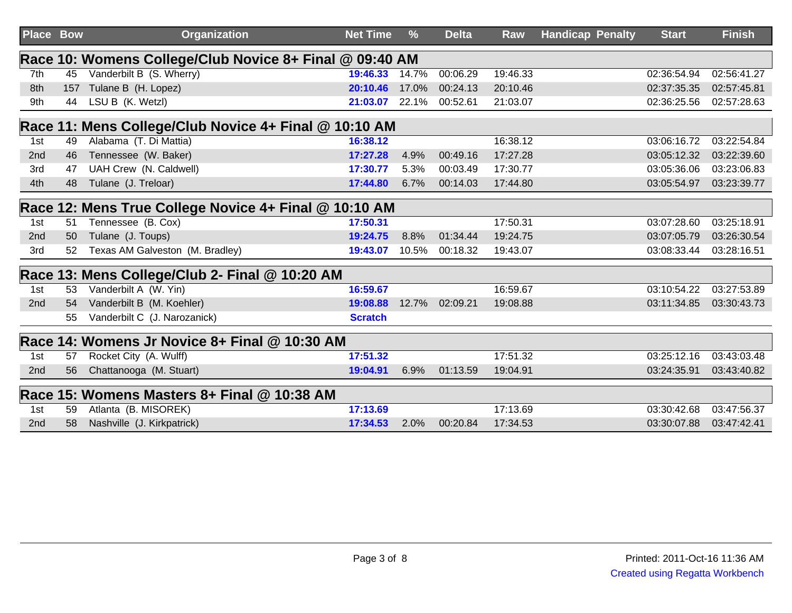| <b>Place Bow</b> |     | <b>Organization</b>                                     | <b>Net Time</b> | $\frac{9}{6}$ | <b>Delta</b> | Raw      | <b>Handicap Penalty</b> | <b>Start</b> | <b>Finish</b> |
|------------------|-----|---------------------------------------------------------|-----------------|---------------|--------------|----------|-------------------------|--------------|---------------|
|                  |     | Race 10: Womens College/Club Novice 8+ Final @ 09:40 AM |                 |               |              |          |                         |              |               |
| 7th              | 45  | Vanderbilt B (S. Wherry)                                | 19:46.33        | 14.7%         | 00:06.29     | 19:46.33 |                         | 02:36:54.94  | 02:56:41.27   |
| 8th              | 157 | Tulane B (H. Lopez)                                     | 20:10.46        | 17.0%         | 00:24.13     | 20:10.46 |                         | 02:37:35.35  | 02:57:45.81   |
| 9th              | 44  | LSU B (K. Wetzl)                                        | 21:03.07        | 22.1%         | 00:52.61     | 21:03.07 |                         | 02:36:25.56  | 02:57:28.63   |
|                  |     | Race 11: Mens College/Club Novice 4+ Final @ 10:10 AM   |                 |               |              |          |                         |              |               |
| 1st              | 49  | Alabama (T. Di Mattia)                                  | 16:38.12        |               |              | 16:38.12 |                         | 03:06:16.72  | 03:22:54.84   |
| 2nd              | 46  | Tennessee (W. Baker)                                    | 17:27.28        | 4.9%          | 00:49.16     | 17:27.28 |                         | 03:05:12.32  | 03:22:39.60   |
| 3rd              | 47  | UAH Crew (N. Caldwell)                                  | 17:30.77        | 5.3%          | 00:03.49     | 17:30.77 |                         | 03:05:36.06  | 03:23:06.83   |
| 4th              | 48  | Tulane (J. Treloar)                                     | 17:44.80        | 6.7%          | 00:14.03     | 17:44.80 |                         | 03:05:54.97  | 03:23:39.77   |
|                  |     | Race 12: Mens True College Novice 4+ Final @ 10:10 AM   |                 |               |              |          |                         |              |               |
| 1st              | 51  | Tennessee (B. Cox)                                      | 17:50.31        |               |              | 17:50.31 |                         | 03:07:28.60  | 03:25:18.91   |
| 2nd              | 50  | Tulane (J. Toups)                                       | 19:24.75        | 8.8%          | 01:34.44     | 19:24.75 |                         | 03:07:05.79  | 03:26:30.54   |
| 3rd              | 52  | Texas AM Galveston (M. Bradley)                         | 19:43.07        | 10.5%         | 00:18.32     | 19:43.07 |                         | 03:08:33.44  | 03:28:16.51   |
|                  |     | Race 13: Mens College/Club 2- Final @ 10:20 AM          |                 |               |              |          |                         |              |               |
| 1st              | 53  | Vanderbilt A (W. Yin)                                   | 16:59.67        |               |              | 16:59.67 |                         | 03:10:54.22  | 03:27:53.89   |
| 2 <sub>nd</sub>  | 54  | Vanderbilt B (M. Koehler)                               | 19:08.88        | 12.7%         | 02:09.21     | 19:08.88 |                         | 03:11:34.85  | 03:30:43.73   |
|                  | 55  | Vanderbilt C (J. Narozanick)                            | <b>Scratch</b>  |               |              |          |                         |              |               |
|                  |     | Race 14: Womens Jr Novice 8+ Final @ 10:30 AM           |                 |               |              |          |                         |              |               |
| 1st              | 57  | Rocket City (A. Wulff)                                  | 17:51.32        |               |              | 17:51.32 |                         | 03:25:12.16  | 03:43:03.48   |
| 2nd              | 56  | Chattanooga (M. Stuart)                                 | 19:04.91        | 6.9%          | 01:13.59     | 19:04.91 |                         | 03:24:35.91  | 03:43:40.82   |
|                  |     | Race 15: Womens Masters 8+ Final @ 10:38 AM             |                 |               |              |          |                         |              |               |
| 1st              | 59  | Atlanta (B. MISOREK)                                    | 17:13.69        |               |              | 17:13.69 |                         | 03:30:42.68  | 03:47:56.37   |
| 2nd              | 58  | Nashville (J. Kirkpatrick)                              | 17:34.53        | 2.0%          | 00:20.84     | 17:34.53 |                         | 03:30:07.88  | 03:47:42.41   |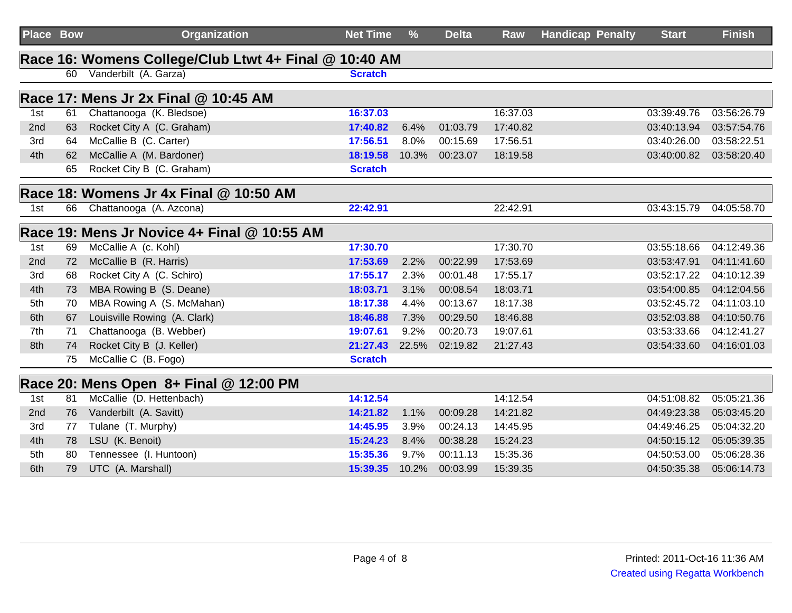| <b>Place Bow</b> |    | <b>Organization</b>                                   | <b>Net Time</b> | $\frac{9}{6}$ | <b>Delta</b> | <b>Raw</b> | <b>Handicap Penalty</b> | <b>Start</b> | <b>Finish</b> |
|------------------|----|-------------------------------------------------------|-----------------|---------------|--------------|------------|-------------------------|--------------|---------------|
|                  |    | Race 16: Womens College/Club Ltwt 4+ Final @ 10:40 AM |                 |               |              |            |                         |              |               |
|                  |    | 60 Vanderbilt (A. Garza)                              | <b>Scratch</b>  |               |              |            |                         |              |               |
|                  |    | Race 17: Mens Jr 2x Final @ 10:45 AM                  |                 |               |              |            |                         |              |               |
| 1st              | 61 | Chattanooga (K. Bledsoe)                              | 16:37.03        |               |              | 16:37.03   |                         | 03:39:49.76  | 03:56:26.79   |
| 2nd              | 63 | Rocket City A (C. Graham)                             | 17:40.82        | 6.4%          | 01:03.79     | 17:40.82   |                         | 03:40:13.94  | 03:57:54.76   |
| 3rd              | 64 | McCallie B (C. Carter)                                | 17:56.51        | 8.0%          | 00:15.69     | 17:56.51   |                         | 03:40:26.00  | 03:58:22.51   |
| 4th              | 62 | McCallie A (M. Bardoner)                              | 18:19.58        | 10.3%         | 00:23.07     | 18:19.58   |                         | 03:40:00.82  | 03:58:20.40   |
|                  | 65 | Rocket City B (C. Graham)                             | <b>Scratch</b>  |               |              |            |                         |              |               |
|                  |    | Race 18: Womens Jr 4x Final @ 10:50 AM                |                 |               |              |            |                         |              |               |
| 1st              | 66 | Chattanooga (A. Azcona)                               | 22:42.91        |               |              | 22:42.91   |                         | 03:43:15.79  | 04:05:58.70   |
|                  |    | Race 19: Mens Jr Novice 4+ Final @ 10:55 AM           |                 |               |              |            |                         |              |               |
| 1st              | 69 | McCallie A (c. Kohl)                                  | 17:30.70        |               |              | 17:30.70   |                         | 03:55:18.66  | 04:12:49.36   |
| 2nd              | 72 | McCallie B (R. Harris)                                | 17:53.69        | 2.2%          | 00:22.99     | 17:53.69   |                         | 03:53:47.91  | 04:11:41.60   |
| 3rd              | 68 | Rocket City A (C. Schiro)                             | 17:55.17        | 2.3%          | 00:01.48     | 17:55.17   |                         | 03:52:17.22  | 04:10:12.39   |
| 4th              | 73 | MBA Rowing B (S. Deane)                               | 18:03.71        | 3.1%          | 00:08.54     | 18:03.71   |                         | 03:54:00.85  | 04:12:04.56   |
| 5th              | 70 | MBA Rowing A (S. McMahan)                             | 18:17.38        | 4.4%          | 00:13.67     | 18:17.38   |                         | 03:52:45.72  | 04:11:03.10   |
| 6th              | 67 | Louisville Rowing (A. Clark)                          | 18:46.88        | 7.3%          | 00:29.50     | 18:46.88   |                         | 03:52:03.88  | 04:10:50.76   |
| 7th              | 71 | Chattanooga (B. Webber)                               | 19:07.61        | 9.2%          | 00:20.73     | 19:07.61   |                         | 03:53:33.66  | 04:12:41.27   |
| 8th              | 74 | Rocket City B (J. Keller)                             | 21:27.43        | 22.5%         | 02:19.82     | 21:27.43   |                         | 03:54:33.60  | 04:16:01.03   |
|                  | 75 | McCallie C (B. Fogo)                                  | <b>Scratch</b>  |               |              |            |                         |              |               |
|                  |    | Race 20: Mens Open 8+ Final @ 12:00 PM                |                 |               |              |            |                         |              |               |
| 1st              | 81 | McCallie (D. Hettenbach)                              | 14:12.54        |               |              | 14:12.54   |                         | 04:51:08.82  | 05:05:21.36   |
| 2nd              | 76 | Vanderbilt (A. Savitt)                                | 14:21.82        | 1.1%          | 00:09.28     | 14:21.82   |                         | 04:49:23.38  | 05:03:45.20   |
| 3rd              | 77 | Tulane (T. Murphy)                                    | 14:45.95        | 3.9%          | 00:24.13     | 14:45.95   |                         | 04:49:46.25  | 05:04:32.20   |
| 4th              | 78 | LSU (K. Benoit)                                       | 15:24.23        | 8.4%          | 00:38.28     | 15:24.23   |                         | 04:50:15.12  | 05:05:39.35   |
| 5th              | 80 | Tennessee (I. Huntoon)                                | 15:35.36        | 9.7%          | 00:11.13     | 15:35.36   |                         | 04:50:53.00  | 05:06:28.36   |
| 6th              | 79 | UTC (A. Marshall)                                     | 15:39.35        | 10.2%         | 00:03.99     | 15:39.35   |                         | 04:50:35.38  | 05:06:14.73   |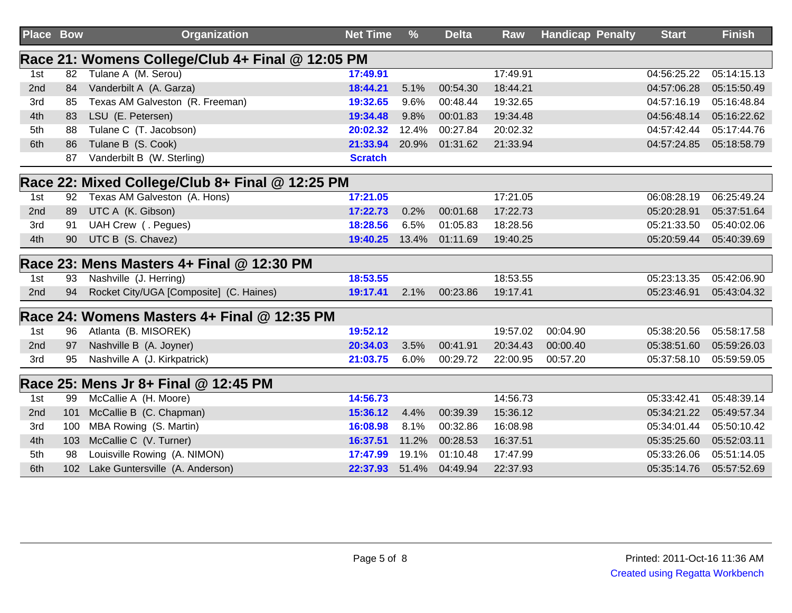| Place Bow |                  | <b>Organization</b>                              | <b>Net Time</b> | $\frac{9}{6}$ | <b>Delta</b> | <b>Raw</b> | <b>Handicap Penalty</b> | <b>Start</b> | <b>Finish</b> |
|-----------|------------------|--------------------------------------------------|-----------------|---------------|--------------|------------|-------------------------|--------------|---------------|
|           |                  | Race 21: Womens College/Club 4+ Final @ 12:05 PM |                 |               |              |            |                         |              |               |
| 1st       | 82               | Tulane A (M. Serou)                              | 17:49.91        |               |              | 17:49.91   |                         | 04:56:25.22  | 05:14:15.13   |
| 2nd       | 84               | Vanderbilt A (A. Garza)                          | 18:44.21        | 5.1%          | 00:54.30     | 18:44.21   |                         | 04:57:06.28  | 05:15:50.49   |
| 3rd       | 85               | Texas AM Galveston (R. Freeman)                  | 19:32.65        | 9.6%          | 00:48.44     | 19:32.65   |                         | 04:57:16.19  | 05:16:48.84   |
| 4th       | 83               | LSU (E. Petersen)                                | 19:34.48        | 9.8%          | 00:01.83     | 19:34.48   |                         | 04:56:48.14  | 05:16:22.62   |
| 5th       | 88               | Tulane C (T. Jacobson)                           | 20:02.32        | 12.4%         | 00:27.84     | 20:02.32   |                         | 04:57:42.44  | 05:17:44.76   |
| 6th       | 86               | Tulane B (S. Cook)                               | 21:33.94        | 20.9%         | 01:31.62     | 21:33.94   |                         | 04:57:24.85  | 05:18:58.79   |
|           | 87               | Vanderbilt B (W. Sterling)                       | <b>Scratch</b>  |               |              |            |                         |              |               |
|           |                  | Race 22: Mixed College/Club 8+ Final @ 12:25 PM  |                 |               |              |            |                         |              |               |
| 1st       | 92               | Texas AM Galveston (A. Hons)                     | 17:21.05        |               |              | 17:21.05   |                         | 06:08:28.19  | 06:25:49.24   |
| 2nd       | 89               | UTC A (K. Gibson)                                | 17:22.73        | 0.2%          | 00:01.68     | 17:22.73   |                         | 05:20:28.91  | 05:37:51.64   |
| 3rd       | 91               | UAH Crew (. Pegues)                              | 18:28.56        | 6.5%          | 01:05.83     | 18:28.56   |                         | 05:21:33.50  | 05:40:02.06   |
| 4th       | 90               | UTC B (S. Chavez)                                | 19:40.25        | 13.4%         | 01:11.69     | 19:40.25   |                         | 05:20:59.44  | 05:40:39.69   |
|           |                  | Race 23: Mens Masters 4+ Final @ 12:30 PM        |                 |               |              |            |                         |              |               |
| 1st       | 93               | Nashville (J. Herring)                           | 18:53.55        |               |              | 18:53.55   |                         | 05:23:13.35  | 05:42:06.90   |
| 2nd       | 94               | Rocket City/UGA [Composite] (C. Haines)          | 19:17.41        | 2.1%          | 00:23.86     | 19:17.41   |                         | 05:23:46.91  | 05:43:04.32   |
|           |                  | Race 24: Womens Masters 4+ Final @ 12:35 PM      |                 |               |              |            |                         |              |               |
| 1st       | 96               | Atlanta (B. MISOREK)                             | 19:52.12        |               |              | 19:57.02   | 00:04.90                | 05:38:20.56  | 05:58:17.58   |
| 2nd       | 97               | Nashville B (A. Joyner)                          | 20:34.03        | 3.5%          | 00:41.91     | 20:34.43   | 00:00.40                | 05:38:51.60  | 05:59:26.03   |
| 3rd       | 95               | Nashville A (J. Kirkpatrick)                     | 21:03.75        | 6.0%          | 00:29.72     | 22:00.95   | 00:57.20                | 05:37:58.10  | 05:59:59.05   |
|           |                  | Race 25: Mens Jr 8+ Final @ 12:45 PM             |                 |               |              |            |                         |              |               |
| 1st       | 99               | McCallie A (H. Moore)                            | 14:56.73        |               |              | 14:56.73   |                         | 05:33:42.41  | 05:48:39.14   |
| 2nd       | 101              | McCallie B (C. Chapman)                          | 15:36.12        | 4.4%          | 00:39.39     | 15:36.12   |                         | 05:34:21.22  | 05:49:57.34   |
| 3rd       | 100              | MBA Rowing (S. Martin)                           | 16:08.98        | 8.1%          | 00:32.86     | 16:08.98   |                         | 05:34:01.44  | 05:50:10.42   |
| 4th       | 103              | McCallie C (V. Turner)                           | 16:37.51        | 11.2%         | 00:28.53     | 16:37.51   |                         | 05:35:25.60  | 05:52:03.11   |
| 5th       | 98               | Louisville Rowing (A. NIMON)                     | 17:47.99        | 19.1%         | 01:10.48     | 17:47.99   |                         | 05:33:26.06  | 05:51:14.05   |
| 6th       | 102 <sub>2</sub> | Lake Guntersville (A. Anderson)                  | 22:37.93        | 51.4%         | 04:49.94     | 22:37.93   |                         | 05:35:14.76  | 05:57:52.69   |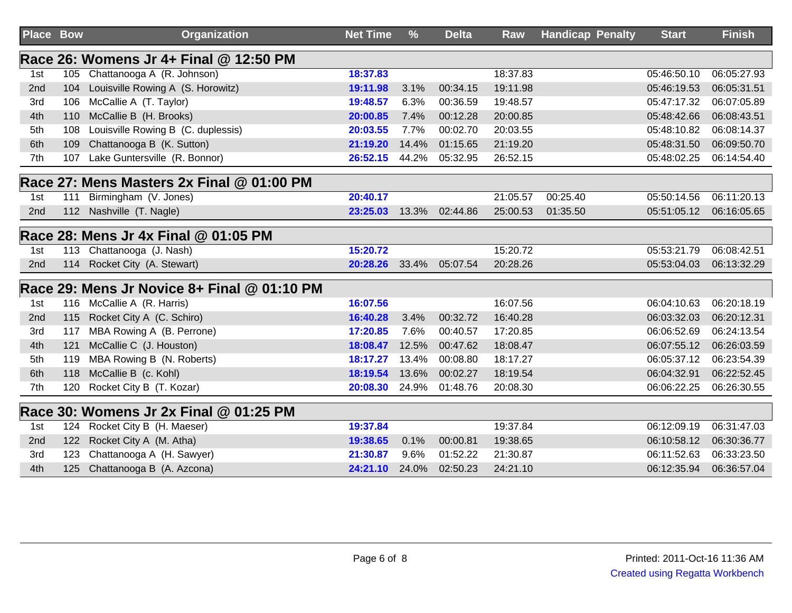| <b>Place Bow</b> |     | <b>Organization</b>                         | <b>Net Time</b> | $\frac{9}{6}$ | <b>Delta</b> | Raw      | <b>Handicap Penalty</b> | <b>Start</b> | <b>Finish</b> |
|------------------|-----|---------------------------------------------|-----------------|---------------|--------------|----------|-------------------------|--------------|---------------|
|                  |     | Race 26: Womens Jr 4+ Final @ 12:50 PM      |                 |               |              |          |                         |              |               |
| 1st              |     | 105 Chattanooga A (R. Johnson)              | 18:37.83        |               |              | 18:37.83 |                         | 05:46:50.10  | 06:05:27.93   |
| 2nd              | 104 | Louisville Rowing A (S. Horowitz)           | 19:11.98        | 3.1%          | 00:34.15     | 19:11.98 |                         | 05:46:19.53  | 06:05:31.51   |
| 3rd              | 106 | McCallie A (T. Taylor)                      | 19:48.57        | 6.3%          | 00:36.59     | 19:48.57 |                         | 05:47:17.32  | 06:07:05.89   |
| 4th              | 110 | McCallie B (H. Brooks)                      | 20:00.85        | 7.4%          | 00:12.28     | 20:00.85 |                         | 05:48:42.66  | 06:08:43.51   |
| 5th              | 108 | Louisville Rowing B (C. duplessis)          | 20:03.55        | 7.7%          | 00:02.70     | 20:03.55 |                         | 05:48:10.82  | 06:08:14.37   |
| 6th              | 109 | Chattanooga B (K. Sutton)                   | 21:19.20        | 14.4%         | 01:15.65     | 21:19.20 |                         | 05:48:31.50  | 06:09:50.70   |
| 7th              | 107 | Lake Guntersville (R. Bonnor)               | 26:52.15        | 44.2%         | 05:32.95     | 26:52.15 |                         | 05:48:02.25  | 06:14:54.40   |
|                  |     | Race 27: Mens Masters 2x Final @ 01:00 PM   |                 |               |              |          |                         |              |               |
| 1st              | 111 | Birmingham (V. Jones)                       | 20:40.17        |               |              | 21:05.57 | 00:25.40                | 05:50:14.56  | 06:11:20.13   |
| 2nd              |     | 112 Nashville (T. Nagle)                    | 23:25.03        | 13.3%         | 02:44.86     | 25:00.53 | 01:35.50                | 05:51:05.12  | 06:16:05.65   |
|                  |     | Race 28: Mens Jr 4x Final @ 01:05 PM        |                 |               |              |          |                         |              |               |
| 1st              |     | 113 Chattanooga (J. Nash)                   | 15:20.72        |               |              | 15:20.72 |                         | 05:53:21.79  | 06:08:42.51   |
| 2nd              |     | 114 Rocket City (A. Stewart)                | 20:28.26        | 33.4%         | 05:07.54     | 20:28.26 |                         | 05:53:04.03  | 06:13:32.29   |
|                  |     | Race 29: Mens Jr Novice 8+ Final @ 01:10 PM |                 |               |              |          |                         |              |               |
| 1st              |     | 116 McCallie A (R. Harris)                  | 16:07.56        |               |              | 16:07.56 |                         | 06:04:10.63  | 06:20:18.19   |
| 2nd              |     | 115 Rocket City A (C. Schiro)               | 16:40.28        | 3.4%          | 00:32.72     | 16:40.28 |                         | 06:03:32.03  | 06:20:12.31   |
| 3rd              | 117 | MBA Rowing A (B. Perrone)                   | 17:20.85        | 7.6%          | 00:40.57     | 17:20.85 |                         | 06:06:52.69  | 06:24:13.54   |
| 4th              | 121 | McCallie C (J. Houston)                     | 18:08.47        | 12.5%         | 00:47.62     | 18:08.47 |                         | 06:07:55.12  | 06:26:03.59   |
| 5th              |     | 119 MBA Rowing B (N. Roberts)               | 18:17.27        | 13.4%         | 00:08.80     | 18:17.27 |                         | 06:05:37.12  | 06:23:54.39   |
| 6th              |     | 118 McCallie B (c. Kohl)                    | 18:19.54        | 13.6%         | 00:02.27     | 18:19.54 |                         | 06:04:32.91  | 06:22:52.45   |
| 7th              | 120 | Rocket City B (T. Kozar)                    | 20:08.30        | 24.9%         | 01:48.76     | 20:08.30 |                         | 06:06:22.25  | 06:26:30.55   |
|                  |     | Race 30: Womens Jr 2x Final @ 01:25 PM      |                 |               |              |          |                         |              |               |
| 1st              | 124 | Rocket City B (H. Maeser)                   | 19:37.84        |               |              | 19:37.84 |                         | 06:12:09.19  | 06:31:47.03   |
| 2nd              | 122 | Rocket City A (M. Atha)                     | 19:38.65        | 0.1%          | 00:00.81     | 19:38.65 |                         | 06:10:58.12  | 06:30:36.77   |
| 3rd              | 123 | Chattanooga A (H. Sawyer)                   | 21:30.87        | 9.6%          | 01:52.22     | 21:30.87 |                         | 06:11:52.63  | 06:33:23.50   |
| 4th              |     | 125 Chattanooga B (A. Azcona)               | 24:21.10        | 24.0%         | 02:50.23     | 24:21.10 |                         | 06:12:35.94  | 06:36:57.04   |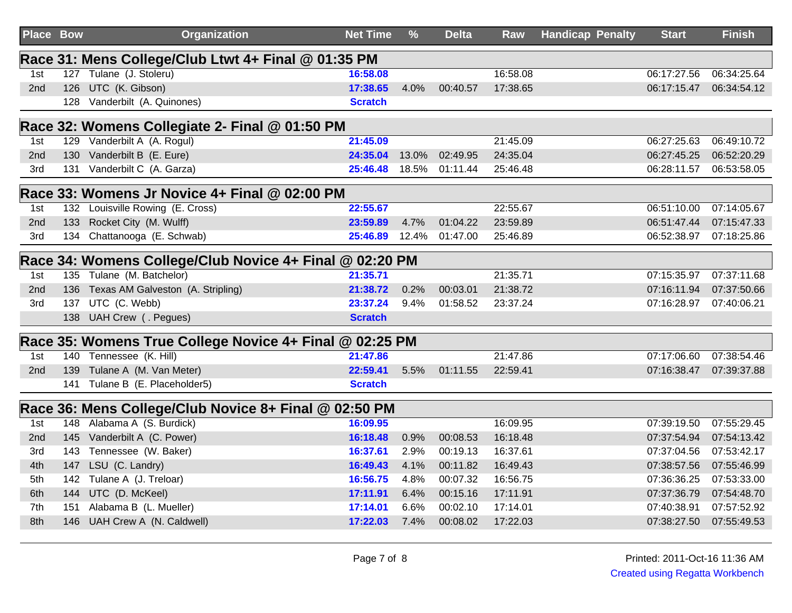| <b>Place Bow</b> |     | <b>Organization</b>                                     | <b>Net Time</b> | $\frac{9}{6}$ | <b>Delta</b> | Raw      | <b>Handicap Penalty</b> | <b>Start</b> | <b>Finish</b> |
|------------------|-----|---------------------------------------------------------|-----------------|---------------|--------------|----------|-------------------------|--------------|---------------|
|                  |     | Race 31: Mens College/Club Ltwt 4+ Final @ 01:35 PM     |                 |               |              |          |                         |              |               |
| 1st              |     | 127 Tulane (J. Stoleru)                                 | 16:58.08        |               |              | 16:58.08 |                         | 06:17:27.56  | 06:34:25.64   |
| 2nd              | 126 | UTC (K. Gibson)                                         | 17:38.65        | 4.0%          | 00:40.57     | 17:38.65 |                         | 06:17:15.47  | 06:34:54.12   |
|                  |     | 128 Vanderbilt (A. Quinones)                            | <b>Scratch</b>  |               |              |          |                         |              |               |
|                  |     | Race 32: Womens Collegiate 2- Final @ 01:50 PM          |                 |               |              |          |                         |              |               |
| 1st              |     | 129 Vanderbilt A (A. Rogul)                             | 21:45.09        |               |              | 21:45.09 |                         | 06:27:25.63  | 06:49:10.72   |
| 2nd              |     | 130 Vanderbilt B (E. Eure)                              | 24:35.04        | 13.0%         | 02:49.95     | 24:35.04 |                         | 06:27:45.25  | 06:52:20.29   |
| 3rd              |     | 131 Vanderbilt C (A. Garza)                             | 25:46.48        | 18.5%         | 01:11.44     | 25:46.48 |                         | 06:28:11.57  | 06:53:58.05   |
|                  |     | Race 33: Womens Jr Novice 4+ Final @ 02:00 PM           |                 |               |              |          |                         |              |               |
| 1st              |     | 132 Louisville Rowing (E. Cross)                        | 22:55.67        |               |              | 22:55.67 |                         | 06:51:10.00  | 07:14:05.67   |
| 2nd              |     | 133 Rocket City (M. Wulff)                              | 23:59.89        | 4.7%          | 01:04.22     | 23:59.89 |                         | 06:51:47.44  | 07:15:47.33   |
| 3rd              |     | 134 Chattanooga (E. Schwab)                             | 25:46.89        | 12.4%         | 01:47.00     | 25:46.89 |                         | 06:52:38.97  | 07:18:25.86   |
|                  |     | Race 34: Womens College/Club Novice 4+ Final @ 02:20 PM |                 |               |              |          |                         |              |               |
| 1st              |     | 135 Tulane (M. Batchelor)                               | 21:35.71        |               |              | 21:35.71 |                         | 07:15:35.97  | 07:37:11.68   |
| 2nd              | 136 | Texas AM Galveston (A. Stripling)                       | 21:38.72        | 0.2%          | 00:03.01     | 21:38.72 |                         | 07:16:11.94  | 07:37:50.66   |
| 3rd              |     | 137 UTC (C. Webb)                                       | 23:37.24        | 9.4%          | 01:58.52     | 23:37.24 |                         | 07:16:28.97  | 07:40:06.21   |
|                  |     | 138 UAH Crew (. Pegues)                                 | <b>Scratch</b>  |               |              |          |                         |              |               |
|                  |     | Race 35: Womens True College Novice 4+ Final @ 02:25 PM |                 |               |              |          |                         |              |               |
| 1st              |     | 140 Tennessee (K. Hill)                                 | 21:47.86        |               |              | 21:47.86 |                         | 07:17:06.60  | 07:38:54.46   |
| 2nd              | 139 | Tulane A (M. Van Meter)                                 | 22:59.41        | 5.5%          | 01:11.55     | 22:59.41 |                         | 07:16:38.47  | 07:39:37.88   |
|                  |     | 141 Tulane B (E. Placeholder5)                          | <b>Scratch</b>  |               |              |          |                         |              |               |
|                  |     | Race 36: Mens College/Club Novice 8+ Final @ 02:50 PM   |                 |               |              |          |                         |              |               |
| 1st              |     | 148 Alabama A (S. Burdick)                              | 16:09.95        |               |              | 16:09.95 |                         | 07:39:19.50  | 07:55:29.45   |
| 2nd              |     | 145 Vanderbilt A (C. Power)                             | 16:18.48        | 0.9%          | 00:08.53     | 16:18.48 |                         | 07:37:54.94  | 07:54:13.42   |
| 3rd              |     | 143 Tennessee (W. Baker)                                | 16:37.61        | 2.9%          | 00:19.13     | 16:37.61 |                         | 07:37:04.56  | 07:53:42.17   |
| 4th              | 147 | LSU (C. Landry)                                         | 16:49.43        | 4.1%          | 00:11.82     | 16:49.43 |                         | 07:38:57.56  | 07:55:46.99   |
| 5th              | 142 | Tulane A (J. Treloar)                                   | 16:56.75        | 4.8%          | 00:07.32     | 16:56.75 |                         | 07:36:36.25  | 07:53:33.00   |
| 6th              | 144 | UTC (D. McKeel)                                         | 17:11.91        | 6.4%          | 00:15.16     | 17:11.91 |                         | 07:37:36.79  | 07:54:48.70   |
| 7th              | 151 | Alabama B (L. Mueller)                                  | 17:14.01        | 6.6%          | 00:02.10     | 17:14.01 |                         | 07:40:38.91  | 07:57:52.92   |
| 8th              |     | 146 UAH Crew A (N. Caldwell)                            | 17:22.03        | 7.4%          | 00:08.02     | 17:22.03 |                         | 07:38:27.50  | 07:55:49.53   |